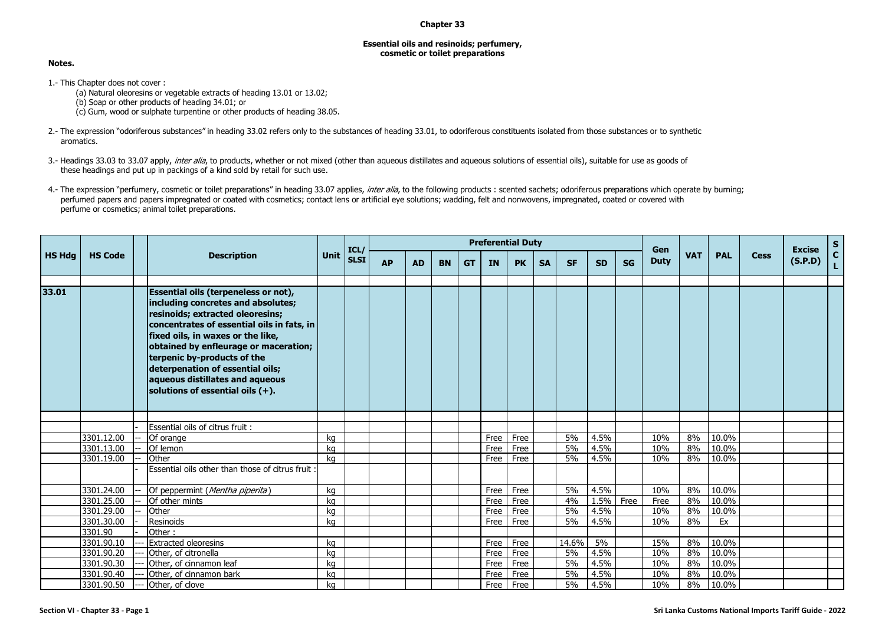## **Chapter 33**

## **Essential oils and resinoids; perfumery, cosmetic or toilet preparations**

## **Notes.**

1.- This Chapter does not cover :

(a) Natural oleoresins or vegetable extracts of heading 13.01 or 13.02; (b) Soap or other products of heading 34.01; or (c) Gum, wood or sulphate turpentine or other products of heading 38.05.

- 2.- The expression "odoriferous substances" in heading 33.02 refers only to the substances of heading 33.01, to odoriferous constituents isolated from those substances or to synthetic aromatics.
- 3.- Headings 33.03 to 33.07 apply, inter alia, to products, whether or not mixed (other than aqueous distillates and aqueous solutions of essential oils), suitable for use as goods of these headings and put up in packings of a kind sold by retail for such use.
- 4.- The expression "perfumery, cosmetic or toilet preparations" in heading 33.07 applies, *inter alia*, to the following products : scented sachets; odoriferous preparations which operate by burning; perfumed papers and papers impregnated or coated with cosmetics; contact lens or artificial eye solutions; wadding, felt and nonwovens, impregnated, coated or covered with perfume or cosmetics; animal toilet preparations.

|               |                          |  | <b>Description</b>                                                                                                                                                                                                                                                                                                                                                                             |          | ICL/        | <b>Preferential Duty</b> |           |           |           |              |              |           |           |              |           |             | Gen        |                |             | <b>Excise</b> |                            |
|---------------|--------------------------|--|------------------------------------------------------------------------------------------------------------------------------------------------------------------------------------------------------------------------------------------------------------------------------------------------------------------------------------------------------------------------------------------------|----------|-------------|--------------------------|-----------|-----------|-----------|--------------|--------------|-----------|-----------|--------------|-----------|-------------|------------|----------------|-------------|---------------|----------------------------|
| <b>HS Hdg</b> | <b>HS Code</b>           |  |                                                                                                                                                                                                                                                                                                                                                                                                | Unit     | <b>SLSI</b> | <b>AP</b>                | <b>AD</b> | <b>BN</b> | <b>GT</b> | <b>IN</b>    | <b>PK</b>    | <b>SA</b> | <b>SF</b> | <b>SD</b>    | <b>SG</b> | <b>Duty</b> | <b>VAT</b> | <b>PAL</b>     | <b>Cess</b> | (S.P.D)       | S <sub>C<sub>L</sub></sub> |
| 33.01         |                          |  | <b>Essential oils (terpeneless or not),</b><br>including concretes and absolutes;<br>resinoids; extracted oleoresins;<br>concentrates of essential oils in fats, in<br>fixed oils, in waxes or the like,<br>obtained by enfleurage or maceration;<br>terpenic by-products of the<br>deterpenation of essential oils;<br>aqueous distillates and aqueous<br>solutions of essential oils $(+)$ . |          |             |                          |           |           |           |              |              |           |           |              |           |             |            |                |             |               |                            |
|               |                          |  |                                                                                                                                                                                                                                                                                                                                                                                                |          |             |                          |           |           |           |              |              |           |           |              |           |             |            |                |             |               |                            |
|               |                          |  | Essential oils of citrus fruit:                                                                                                                                                                                                                                                                                                                                                                |          |             |                          |           |           |           |              |              |           | 5%        |              |           |             |            |                |             |               |                            |
|               | 3301.12.00<br>3301.13.00 |  | Of orange<br>Of lemon                                                                                                                                                                                                                                                                                                                                                                          | kg<br>ka |             |                          |           |           |           | Free<br>Free | Free<br>Free |           | 5%        | 4.5%<br>4.5% |           | 10%<br>10%  | 8%<br>8%   | 10.0%<br>10.0% |             |               |                            |
|               | 3301.19.00               |  | Other                                                                                                                                                                                                                                                                                                                                                                                          | ka       |             |                          |           |           |           | Free         | Free         |           | 5%        | 4.5%         |           | 10%         | 8%         | 10.0%          |             |               |                            |
|               |                          |  | Essential oils other than those of citrus fruit:                                                                                                                                                                                                                                                                                                                                               |          |             |                          |           |           |           |              |              |           |           |              |           |             |            |                |             |               |                            |
|               | 3301.24.00               |  | Of peppermint (Mentha piperita)                                                                                                                                                                                                                                                                                                                                                                | ka       |             |                          |           |           |           | Free         | Free         |           | 5%        | 4.5%         |           | 10%         | 8%         | 10.0%          |             |               |                            |
|               | 3301.25.00               |  | Of other mints                                                                                                                                                                                                                                                                                                                                                                                 | kg       |             |                          |           |           |           | Free         | Free         |           | 4%        | 1.5% Free    |           | Free        | 8%         | 10.0%          |             |               |                            |
|               | 3301.29.00               |  | Other                                                                                                                                                                                                                                                                                                                                                                                          | kg       |             |                          |           |           |           | Free         | Free         |           | 5%        | 4.5%         |           | 10%         | 8%         | 10.0%          |             |               |                            |
|               | 3301.30.00               |  | Resinoids                                                                                                                                                                                                                                                                                                                                                                                      | ka       |             |                          |           |           |           | Free         | Free         |           | 5%        | 4.5%         |           | 10%         | 8%         | Ex             |             |               |                            |
|               | 3301.90                  |  | Other:                                                                                                                                                                                                                                                                                                                                                                                         |          |             |                          |           |           |           |              |              |           |           |              |           |             |            |                |             |               |                            |
|               | 3301.90.10               |  | <b>Extracted oleoresins</b>                                                                                                                                                                                                                                                                                                                                                                    | ka       |             |                          |           |           |           | Free         | Free         |           | 14.6%     | 5%           |           | 15%         | 8%         | 10.0%          |             |               |                            |
|               | 3301.90.20               |  | Other, of citronella                                                                                                                                                                                                                                                                                                                                                                           | kg       |             |                          |           |           |           | Free         | Free         |           | 5%        | 4.5%         |           | 10%         | 8%         | 10.0%          |             |               |                            |
|               | 3301.90.30<br>3301.90.40 |  | Other, of cinnamon leaf                                                                                                                                                                                                                                                                                                                                                                        | kg       |             |                          |           |           |           | Free         | Free         |           | 5%<br>5%  | 4.5%<br>4.5% |           | 10%<br>10%  | 8%<br>8%   | 10.0%<br>10.0% |             |               |                            |
|               | 3301.90.50               |  | Other, of cinnamon bark                                                                                                                                                                                                                                                                                                                                                                        | ka<br>ka |             |                          |           |           |           | Free         | Free<br>Free |           | 5%        | 4.5%         |           | 10%         | 8%         | 10.0%          |             |               |                            |
|               |                          |  | Other, of clove                                                                                                                                                                                                                                                                                                                                                                                |          |             |                          |           |           |           | Free         |              |           |           |              |           |             |            |                |             |               |                            |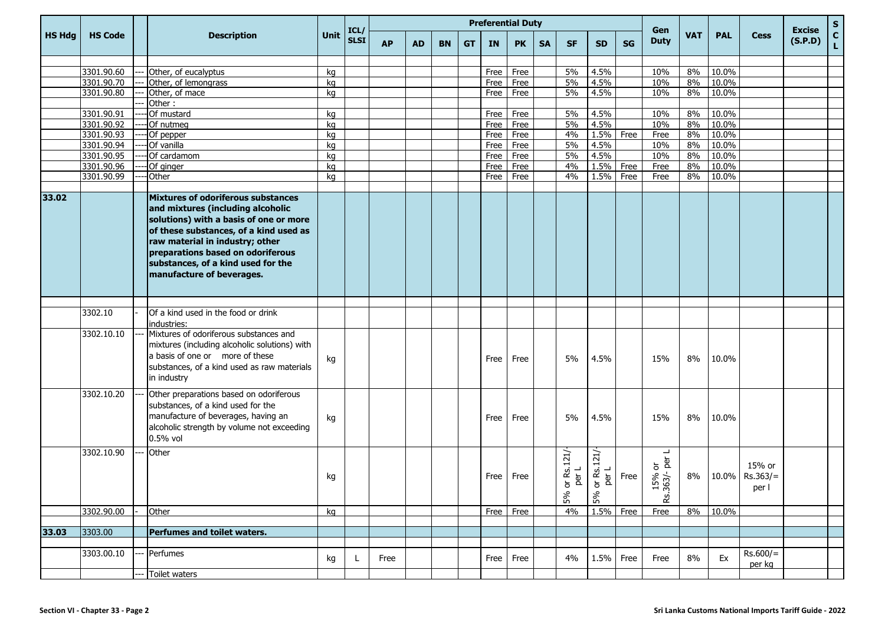|               |                |                                                                                                                                                                                                                                                                                                        |      |                     |           | <b>Preferential Duty</b><br>Gen |           |           |      |           |           |                                                    |                        |           |                                                      |            |            |                               |                          |             |
|---------------|----------------|--------------------------------------------------------------------------------------------------------------------------------------------------------------------------------------------------------------------------------------------------------------------------------------------------------|------|---------------------|-----------|---------------------------------|-----------|-----------|------|-----------|-----------|----------------------------------------------------|------------------------|-----------|------------------------------------------------------|------------|------------|-------------------------------|--------------------------|-------------|
| <b>HS Hdg</b> | <b>HS Code</b> | <b>Description</b>                                                                                                                                                                                                                                                                                     | Unit | ICL/<br><b>SLSI</b> | <b>AP</b> | <b>AD</b>                       | <b>BN</b> | <b>GT</b> | IN   | <b>PK</b> | <b>SA</b> | <b>SF</b>                                          | <b>SD</b>              | <b>SG</b> | <b>Duty</b>                                          | <b>VAT</b> | <b>PAL</b> | <b>Cess</b>                   | <b>Excise</b><br>(S.P.D) | S<br>C<br>L |
|               |                |                                                                                                                                                                                                                                                                                                        |      |                     |           |                                 |           |           |      |           |           |                                                    |                        |           |                                                      |            |            |                               |                          |             |
|               | 3301.90.60     | Other, of eucalyptus                                                                                                                                                                                                                                                                                   | kg   |                     |           |                                 |           |           | Free | Free      |           | 5%                                                 | 4.5%                   |           | 10%                                                  | 8%         | 10.0%      |                               |                          |             |
|               | 3301.90.70     | Other, of lemongrass                                                                                                                                                                                                                                                                                   | kg   |                     |           |                                 |           |           | Free | Free      |           | 5%                                                 | 4.5%                   |           | 10%                                                  | 8%         | 10.0%      |                               |                          |             |
|               | 3301.90.80     | Other, of mace                                                                                                                                                                                                                                                                                         | kg   |                     |           |                                 |           |           | Free | Free      |           | 5%                                                 | 4.5%                   |           | 10%                                                  | 8%         | 10.0%      |                               |                          |             |
|               | 3301.90.91     | Other:<br>Of mustard                                                                                                                                                                                                                                                                                   | kg   |                     |           |                                 |           |           | Free | Free      |           | 5%                                                 | 4.5%                   |           | 10%                                                  | 8%         | 10.0%      |                               |                          |             |
|               | 3301.90.92     | Of nutmeg                                                                                                                                                                                                                                                                                              | kg   |                     |           |                                 |           |           | Free | Free      |           | 5%                                                 | 4.5%                   |           | 10%                                                  | 8%         | 10.0%      |                               |                          |             |
|               | 3301.90.93     | Of pepper                                                                                                                                                                                                                                                                                              | kg   |                     |           |                                 |           |           | Free | Free      |           | 4%                                                 | 1.5%                   | Free      | Free                                                 | 8%         | 10.0%      |                               |                          |             |
|               | 3301.90.94     | Of vanilla                                                                                                                                                                                                                                                                                             | kg   |                     |           |                                 |           |           | Free | Free      |           | 5%                                                 | 4.5%                   |           | 10%                                                  | 8%         | 10.0%      |                               |                          |             |
|               | 3301.90.95     | Of cardamom                                                                                                                                                                                                                                                                                            | kg   |                     |           |                                 |           |           | Free | Free      |           | 5%                                                 | 4.5%                   |           | 10%                                                  | 8%         | 10.0%      |                               |                          |             |
|               | 3301.90.96     | Of ginger                                                                                                                                                                                                                                                                                              | kg   |                     |           |                                 |           |           | Free | Free      |           | 4%                                                 | 1.5%                   | Free      | Free                                                 | 8%         | 10.0%      |                               |                          |             |
|               | 3301.90.99     | Other                                                                                                                                                                                                                                                                                                  | kg   |                     |           |                                 |           |           | Free | Free      |           | 4%                                                 | 1.5%                   | Free      | Free                                                 | 8%         | 10.0%      |                               |                          |             |
|               |                |                                                                                                                                                                                                                                                                                                        |      |                     |           |                                 |           |           |      |           |           |                                                    |                        |           |                                                      |            |            |                               |                          |             |
| 33.02         |                | Mixtures of odoriferous substances<br>and mixtures (including alcoholic<br>solutions) with a basis of one or more<br>of these substances, of a kind used as<br>raw material in industry; other<br>preparations based on odoriferous<br>substances, of a kind used for the<br>manufacture of beverages. |      |                     |           |                                 |           |           |      |           |           |                                                    |                        |           |                                                      |            |            |                               |                          |             |
|               |                |                                                                                                                                                                                                                                                                                                        |      |                     |           |                                 |           |           |      |           |           |                                                    |                        |           |                                                      |            |            |                               |                          |             |
|               | 3302.10        | Of a kind used in the food or drink<br>industries:                                                                                                                                                                                                                                                     |      |                     |           |                                 |           |           |      |           |           |                                                    |                        |           |                                                      |            |            |                               |                          |             |
|               | 3302.10.10     | Mixtures of odoriferous substances and<br>mixtures (including alcoholic solutions) with<br>a basis of one or more of these<br>substances, of a kind used as raw materials<br>in industry                                                                                                               | kg   |                     |           |                                 |           |           | Free | Free      |           | 5%                                                 | 4.5%                   |           | 15%                                                  | 8%         | 10.0%      |                               |                          |             |
|               | 3302.10.20     | Other preparations based on odoriferous<br>substances, of a kind used for the<br>manufacture of beverages, having an<br>alcoholic strength by volume not exceeding<br>$0.5%$ vol                                                                                                                       | kg   |                     |           |                                 |           |           | Free | Free      |           | 5%                                                 | 4.5%                   |           | 15%                                                  | 8%         | 10.0%      |                               |                          |             |
|               | 3302.10.90     | Other                                                                                                                                                                                                                                                                                                  | kg   |                     |           |                                 |           |           | Free | Free      |           | Rs.121/<br>per L<br>$\overleftarrow{\sigma}$<br>5% | 5% or Rs.121/<br>per L | Free      | ┙<br><sub>ក</sub> ត្ថ<br>$63/-$<br>5%<br>$rac{1}{2}$ | 8%         | 10.0%      | 15% or<br>$Rs.363/=$<br>per i |                          |             |
|               | 3302.90.00     | Other                                                                                                                                                                                                                                                                                                  | kg   |                     |           |                                 |           |           | Free | Free      |           | 4%                                                 | 1.5% Free              |           | Free                                                 | 8%         | 10.0%      |                               |                          |             |
|               |                |                                                                                                                                                                                                                                                                                                        |      |                     |           |                                 |           |           |      |           |           |                                                    |                        |           |                                                      |            |            |                               |                          |             |
| 33.03         | 3303.00        | Perfumes and toilet waters.                                                                                                                                                                                                                                                                            |      |                     |           |                                 |           |           |      |           |           |                                                    |                        |           |                                                      |            |            |                               |                          |             |
|               |                |                                                                                                                                                                                                                                                                                                        |      |                     |           |                                 |           |           |      |           |           |                                                    |                        |           |                                                      |            |            |                               |                          |             |
|               | 3303.00.10     | Perfumes                                                                                                                                                                                                                                                                                               | kg   | L                   | Free      |                                 |           |           | Free | Free      |           | 4%                                                 | 1.5%                   | Free      | Free                                                 | 8%         | Ex         | $Rs.600/=$<br>per kg          |                          |             |
|               |                | Toilet waters                                                                                                                                                                                                                                                                                          |      |                     |           |                                 |           |           |      |           |           |                                                    |                        |           |                                                      |            |            |                               |                          |             |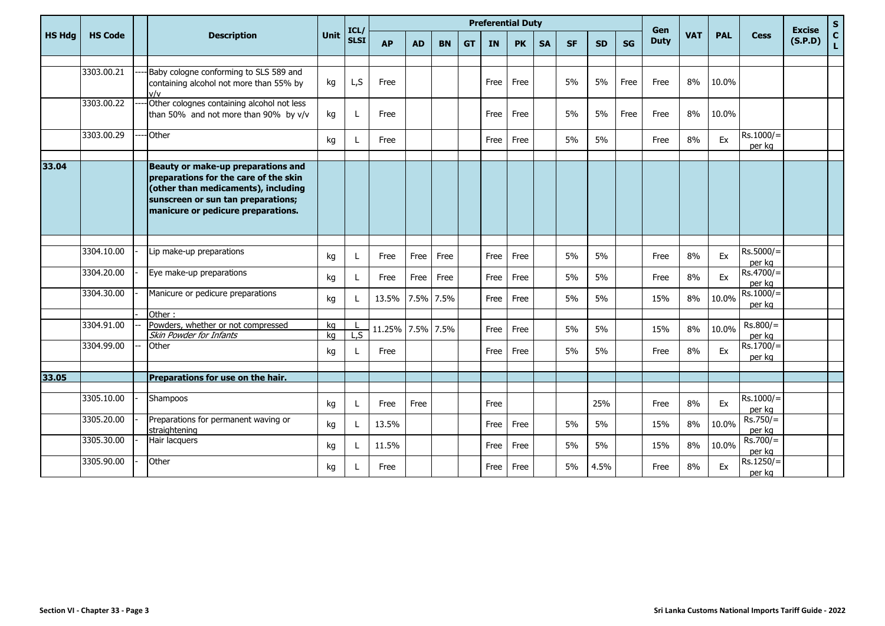|               | <b>HS Code</b> |  |                                                                                                                                                                                                |          | ICL/         | <b>Preferential Duty</b> |           |           |           |           |           |           |           |           |           | Gen         |            |            |                       | <b>Excise</b> | $\mathsf{s}$   |
|---------------|----------------|--|------------------------------------------------------------------------------------------------------------------------------------------------------------------------------------------------|----------|--------------|--------------------------|-----------|-----------|-----------|-----------|-----------|-----------|-----------|-----------|-----------|-------------|------------|------------|-----------------------|---------------|----------------|
| <b>HS Hdg</b> |                |  | <b>Description</b>                                                                                                                                                                             | Unit     | <b>SLSI</b>  | <b>AP</b>                | <b>AD</b> | <b>BN</b> | <b>GT</b> | <b>IN</b> | <b>PK</b> | <b>SA</b> | <b>SF</b> | <b>SD</b> | <b>SG</b> | <b>Duty</b> | <b>VAT</b> | <b>PAL</b> | <b>Cess</b>           | (S.P.D)       | $\overline{c}$ |
|               |                |  |                                                                                                                                                                                                |          |              |                          |           |           |           |           |           |           |           |           |           |             |            |            |                       |               |                |
|               | 3303.00.21     |  | Baby cologne conforming to SLS 589 and<br>containing alcohol not more than 55% by<br>V/v                                                                                                       | kg       | L, S         | Free                     |           |           |           | Free      | Free      |           | 5%        | 5%        | Free      | Free        | 8%         | 10.0%      |                       |               |                |
|               | 3303.00.22     |  | Other colognes containing alcohol not less<br>than 50% and not more than 90% by v/v                                                                                                            | kg       | L            | Free                     |           |           |           | Free      | Free      |           | 5%        | 5%        | Free      | Free        | 8%         | 10.0%      |                       |               |                |
|               | 3303.00.29     |  | Other                                                                                                                                                                                          | kg       | L            | Free                     |           |           |           | Free      | Free      |           | 5%        | 5%        |           | Free        | 8%         | Ex         | $Rs.1000/=$<br>per kg |               |                |
| 33.04         |                |  | Beauty or make-up preparations and<br>preparations for the care of the skin<br>(other than medicaments), including<br>sunscreen or sun tan preparations;<br>manicure or pedicure preparations. |          |              |                          |           |           |           |           |           |           |           |           |           |             |            |            |                       |               |                |
|               |                |  |                                                                                                                                                                                                |          |              |                          |           |           |           |           |           |           |           |           |           |             |            |            |                       |               |                |
|               | 3304.10.00     |  | Lip make-up preparations                                                                                                                                                                       | kg       | L            | Free                     | Free      | Free      |           | Free      | Free      |           | 5%        | 5%        |           | Free        | 8%         | Ex         | $Rs.5000/=$<br>per kg |               |                |
|               | 3304.20.00     |  | Eye make-up preparations                                                                                                                                                                       | kg       | L            | Free                     | Free      | Free      |           | Free      | Free      |           | 5%        | 5%        |           | Free        | 8%         | Ex         | $Rs.4700/=$<br>per ka |               |                |
|               | 3304.30.00     |  | Manicure or pedicure preparations                                                                                                                                                              | kg       | L            | 13.5%                    |           | 7.5% 7.5% |           | Free      | Free      |           | 5%        | 5%        |           | 15%         | 8%         | 10.0%      | $Rs.1000/=$<br>per kg |               |                |
|               |                |  | Other:                                                                                                                                                                                         |          |              |                          |           |           |           |           |           |           |           |           |           |             |            |            |                       |               |                |
|               | 3304.91.00     |  | Powders, whether or not compressed<br>Skin Powder for Infants                                                                                                                                  | kg<br>ka | L, S         | 11.25% 7.5% 7.5%         |           |           |           | Free      | Free      |           | 5%        | 5%        |           | 15%         | 8%         | 10.0%      | $Rs.800/=$<br>per kg  |               |                |
|               | 3304.99.00     |  | Other                                                                                                                                                                                          | kg       | L            | Free                     |           |           |           | Free      | Free      |           | 5%        | 5%        |           | Free        | 8%         | Ex         | $Rs.1700/=$<br>per kg |               |                |
| 33.05         |                |  | Preparations for use on the hair.                                                                                                                                                              |          |              |                          |           |           |           |           |           |           |           |           |           |             |            |            |                       |               |                |
|               |                |  |                                                                                                                                                                                                |          |              |                          |           |           |           |           |           |           |           |           |           |             |            |            |                       |               |                |
|               | 3305.10.00     |  | Shampoos                                                                                                                                                                                       | kg       | L            | Free                     | Free      |           |           | Free      |           |           |           | 25%       |           | Free        | 8%         | Ex         | $Rs.1000/=$<br>per kg |               |                |
|               | 3305.20.00     |  | Preparations for permanent waving or<br>straightening                                                                                                                                          | kg       | L            | 13.5%                    |           |           |           | Free      | Free      |           | 5%        | 5%        |           | 15%         | 8%         | 10.0%      | $Rs.750/=$<br>per kg  |               |                |
|               | 3305.30.00     |  | Hair lacquers                                                                                                                                                                                  | kg       | $\mathbf{L}$ | 11.5%                    |           |           |           | Free      | Free      |           | 5%        | 5%        |           | 15%         | 8%         | 10.0%      | $Rs.700/=$<br>per kg  |               |                |
|               | 3305.90.00     |  | Other                                                                                                                                                                                          | kg       |              | Free                     |           |           |           | Free      | Free      |           | 5%        | 4.5%      |           | Free        | 8%         | Ex         | Rs.1250/<br>per kg    |               |                |